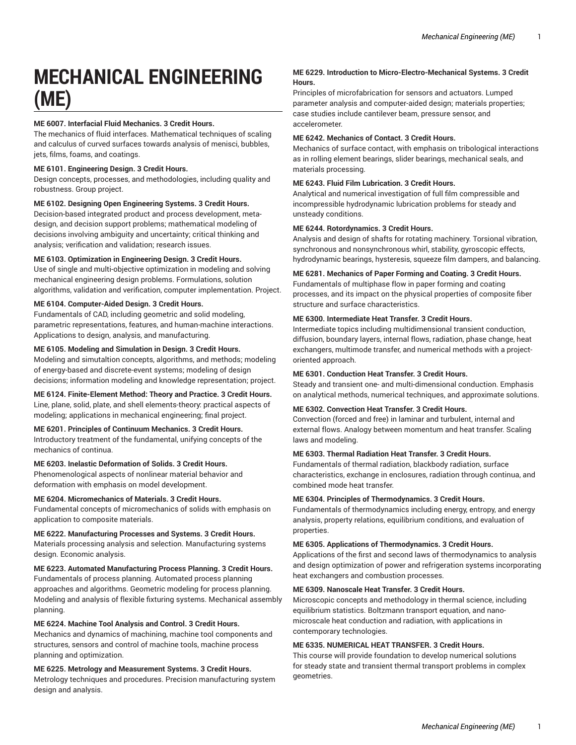# **MECHANICAL ENGINEERING (ME)**

# **ME 6007. Interfacial Fluid Mechanics. 3 Credit Hours.**

The mechanics of fluid interfaces. Mathematical techniques of scaling and calculus of curved surfaces towards analysis of menisci, bubbles, jets, films, foams, and coatings.

#### **ME 6101. Engineering Design. 3 Credit Hours.**

Design concepts, processes, and methodologies, including quality and robustness. Group project.

#### **ME 6102. Designing Open Engineering Systems. 3 Credit Hours.**

Decision-based integrated product and process development, metadesign, and decision support problems; mathematical modeling of decisions involving ambiguity and uncertainty; critical thinking and analysis; verification and validation; research issues.

# **ME 6103. Optimization in Engineering Design. 3 Credit Hours.**

Use of single and multi-objective optimization in modeling and solving mechanical engineering design problems. Formulations, solution algorithms, validation and verification, computer implementation. Project.

#### **ME 6104. Computer-Aided Design. 3 Credit Hours.**

Fundamentals of CAD, including geometric and solid modeling, parametric representations, features, and human-machine interactions. Applications to design, analysis, and manufacturing.

# **ME 6105. Modeling and Simulation in Design. 3 Credit Hours.**

Modeling and simutaltion concepts, algorithms, and methods; modeling of energy-based and discrete-event systems; modeling of design decisions; information modeling and knowledge representation; project.

#### **ME 6124. Finite-Element Method: Theory and Practice. 3 Credit Hours.**

Line, plane, solid, plate, and shell elements-theory: practical aspects of modeling; applications in mechanical engineering; final project.

#### **ME 6201. Principles of Continuum Mechanics. 3 Credit Hours.**

Introductory treatment of the fundamental, unifying concepts of the mechanics of continua.

#### **ME 6203. Inelastic Deformation of Solids. 3 Credit Hours.**

Phenomenological aspects of nonlinear material behavior and deformation with emphasis on model development.

#### **ME 6204. Micromechanics of Materials. 3 Credit Hours.**

Fundamental concepts of micromechanics of solids with emphasis on application to composite materials.

#### **ME 6222. Manufacturing Processes and Systems. 3 Credit Hours.**

Materials processing analysis and selection. Manufacturing systems design. Economic analysis.

# **ME 6223. Automated Manufacturing Process Planning. 3 Credit Hours.**

Fundamentals of process planning. Automated process planning approaches and algorithms. Geometric modeling for process planning. Modeling and analysis of flexible fixturing systems. Mechanical assembly planning.

#### **ME 6224. Machine Tool Analysis and Control. 3 Credit Hours.**

Mechanics and dynamics of machining, machine tool components and structures, sensors and control of machine tools, machine process planning and optimization.

**ME 6225. Metrology and Measurement Systems. 3 Credit Hours.** Metrology techniques and procedures. Precision manufacturing system design and analysis.

# **ME 6229. Introduction to Micro-Electro-Mechanical Systems. 3 Credit Hours.**

Principles of microfabrication for sensors and actuators. Lumped parameter analysis and computer-aided design; materials properties; case studies include cantilever beam, pressure sensor, and accelerometer.

#### **ME 6242. Mechanics of Contact. 3 Credit Hours.**

Mechanics of surface contact, with emphasis on tribological interactions as in rolling element bearings, slider bearings, mechanical seals, and materials processing.

#### **ME 6243. Fluid Film Lubrication. 3 Credit Hours.**

Analytical and numerical investigation of full film compressible and incompressible hydrodynamic lubrication problems for steady and unsteady conditions.

# **ME 6244. Rotordynamics. 3 Credit Hours.**

Analysis and design of shafts for rotating machinery. Torsional vibration, synchronous and nonsynchronous whirl, stability, gyroscopic effects, hydrodynamic bearings, hysteresis, squeeze film dampers, and balancing.

# **ME 6281. Mechanics of Paper Forming and Coating. 3 Credit Hours.**

Fundamentals of multiphase flow in paper forming and coating processes, and its impact on the physical properties of composite fiber structure and surface characteristics.

# **ME 6300. Intermediate Heat Transfer. 3 Credit Hours.**

Intermediate topics including multidimensional transient conduction, diffusion, boundary layers, internal flows, radiation, phase change, heat exchangers, multimode transfer, and numerical methods with a projectoriented approach.

#### **ME 6301. Conduction Heat Transfer. 3 Credit Hours.**

Steady and transient one- and multi-dimensional conduction. Emphasis on analytical methods, numerical techniques, and approximate solutions.

#### **ME 6302. Convection Heat Transfer. 3 Credit Hours.**

Convection (forced and free) in laminar and turbulent, internal and external flows. Analogy between momentum and heat transfer. Scaling laws and modeling.

# **ME 6303. Thermal Radiation Heat Transfer. 3 Credit Hours.**

Fundamentals of thermal radiation, blackbody radiation, surface characteristics, exchange in enclosures, radiation through continua, and combined mode heat transfer.

#### **ME 6304. Principles of Thermodynamics. 3 Credit Hours.**

Fundamentals of thermodynamics including energy, entropy, and energy analysis, property relations, equilibrium conditions, and evaluation of properties.

#### **ME 6305. Applications of Thermodynamics. 3 Credit Hours.**

Applications of the first and second laws of thermodynamics to analysis and design optimization of power and refrigeration systems incorporating heat exchangers and combustion processes.

#### **ME 6309. Nanoscale Heat Transfer. 3 Credit Hours.**

Microscopic concepts and methodology in thermal science, including equilibrium statistics. Boltzmann transport equation, and nanomicroscale heat conduction and radiation, with applications in contemporary technologies.

#### **ME 6335. NUMERICAL HEAT TRANSFER. 3 Credit Hours.**

This course will provide foundation to develop numerical solutions for steady state and transient thermal transport problems in complex geometries.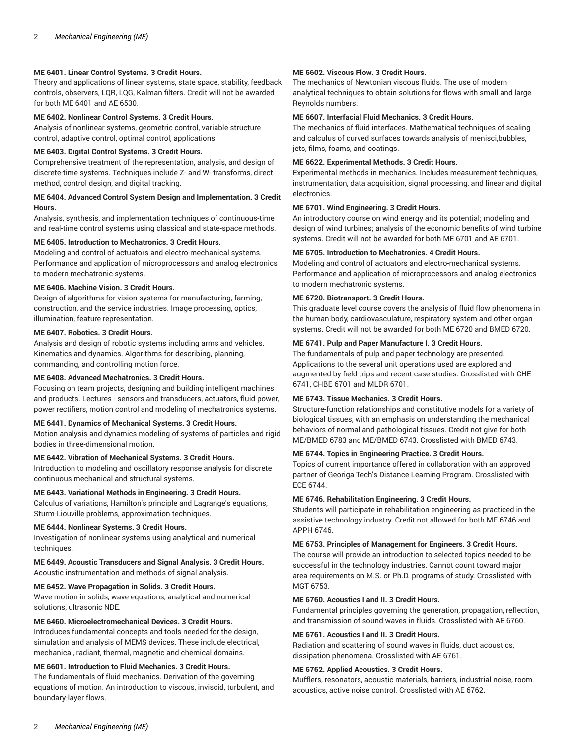# **ME 6401. Linear Control Systems. 3 Credit Hours.**

Theory and applications of linear systems, state space, stability, feedback controls, observers, LQR, LQG, Kalman filters. Credit will not be awarded for both ME 6401 and AE 6530.

#### **ME 6402. Nonlinear Control Systems. 3 Credit Hours.**

Analysis of nonlinear systems, geometric control, variable structure control, adaptive control, optimal control, applications.

# **ME 6403. Digital Control Systems. 3 Credit Hours.**

Comprehensive treatment of the representation, analysis, and design of discrete-time systems. Techniques include Z- and W- transforms, direct method, control design, and digital tracking.

# **ME 6404. Advanced Control System Design and Implementation. 3 Credit Hours.**

Analysis, synthesis, and implementation techniques of continuous-time and real-time control systems using classical and state-space methods.

# **ME 6405. Introduction to Mechatronics. 3 Credit Hours.**

Modeling and control of actuators and electro-mechanical systems. Performance and application of microprocessors and analog electronics to modern mechatronic systems.

# **ME 6406. Machine Vision. 3 Credit Hours.**

Design of algorithms for vision systems for manufacturing, farming, construction, and the service industries. Image processing, optics, illumination, feature representation.

# **ME 6407. Robotics. 3 Credit Hours.**

Analysis and design of robotic systems including arms and vehicles. Kinematics and dynamics. Algorithms for describing, planning, commanding, and controlling motion force.

# **ME 6408. Advanced Mechatronics. 3 Credit Hours.**

Focusing on team projects, designing and building intelligent machines and products. Lectures - sensors and transducers, actuators, fluid power, power rectifiers, motion control and modeling of mechatronics systems.

# **ME 6441. Dynamics of Mechanical Systems. 3 Credit Hours.**

Motion analysis and dynamics modeling of systems of particles and rigid bodies in three-dimensional motion.

#### **ME 6442. Vibration of Mechanical Systems. 3 Credit Hours.**

Introduction to modeling and oscillatory response analysis for discrete continuous mechanical and structural systems.

#### **ME 6443. Variational Methods in Engineering. 3 Credit Hours.**

Calculus of variations, Hamilton's principle and Lagrange's equations, Sturm-Liouville problems, approximation techniques.

#### **ME 6444. Nonlinear Systems. 3 Credit Hours.**

Investigation of nonlinear systems using analytical and numerical techniques.

**ME 6449. Acoustic Transducers and Signal Analysis. 3 Credit Hours.** Acoustic instrumentation and methods of signal analysis.

# **ME 6452. Wave Propagation in Solids. 3 Credit Hours.**

Wave motion in solids, wave equations, analytical and numerical solutions, ultrasonic NDE.

# **ME 6460. Microelectromechanical Devices. 3 Credit Hours.**

Introduces fundamental concepts and tools needed for the design, simulation and analysis of MEMS devices. These include electrical, mechanical, radiant, thermal, magnetic and chemical domains.

# **ME 6601. Introduction to Fluid Mechanics. 3 Credit Hours.**

The fundamentals of fluid mechanics. Derivation of the governing equations of motion. An introduction to viscous, inviscid, turbulent, and boundary-layer flows.

# **ME 6602. Viscous Flow. 3 Credit Hours.**

The mechanics of Newtonian viscous fluids. The use of modern analytical techniques to obtain solutions for flows with small and large Reynolds numbers.

#### **ME 6607. Interfacial Fluid Mechanics. 3 Credit Hours.**

The mechanics of fluid interfaces. Mathematical techniques of scaling and calculus of curved surfaces towards analysis of menisci,bubbles, jets, films, foams, and coatings.

# **ME 6622. Experimental Methods. 3 Credit Hours.**

Experimental methods in mechanics. Includes measurement techniques, instrumentation, data acquisition, signal processing, and linear and digital electronics.

# **ME 6701. Wind Engineering. 3 Credit Hours.**

An introductory course on wind energy and its potential; modeling and design of wind turbines; analysis of the economic benefits of wind turbine systems. Credit will not be awarded for both ME 6701 and AE 6701.

# **ME 6705. Introduction to Mechatronics. 4 Credit Hours.**

Modeling and control of actuators and electro-mechanical systems. Performance and application of microprocessors and analog electronics to modern mechatronic systems.

# **ME 6720. Biotransport. 3 Credit Hours.**

This graduate level course covers the analysis of fluid flow phenomena in the human body, cardiovasculature, respiratory system and other organ systems. Credit will not be awarded for both ME 6720 and BMED 6720.

# **ME 6741. Pulp and Paper Manufacture I. 3 Credit Hours.**

The fundamentals of pulp and paper technology are presented. Applications to the several unit operations used are explored and augmented by field trips and recent case studies. Crosslisted with CHE 6741, CHBE 6701 and MLDR 6701.

# **ME 6743. Tissue Mechanics. 3 Credit Hours.**

Structure-function relationships and constitutive models for a variety of biological tissues, with an emphasis on understanding the mechanical behaviors of normal and pathological tissues. Credit not give for both ME/BMED 6783 and ME/BMED 6743. Crosslisted with BMED 6743.

#### **ME 6744. Topics in Engineering Practice. 3 Credit Hours.**

Topics of current importance offered in collaboration with an approved partner of Georiga Tech's Distance Learning Program. Crosslisted with ECE 6744.

#### **ME 6746. Rehabilitation Engineering. 3 Credit Hours.**

Students will participate in rehabilitation engineering as practiced in the assistive technology industry. Credit not allowed for both ME 6746 and APPH 6746.

#### **ME 6753. Principles of Management for Engineers. 3 Credit Hours.**

The course will provide an introduction to selected topics needed to be successful in the technology industries. Cannot count toward major area requirements on M.S. or Ph.D. programs of study. Crosslisted with MGT 6753.

#### **ME 6760. Acoustics I and II. 3 Credit Hours.**

Fundamental principles governing the generation, propagation, reflection, and transmission of sound waves in fluids. Crosslisted with AE 6760.

#### **ME 6761. Acoustics I and II. 3 Credit Hours.**

Radiation and scattering of sound waves in fluids, duct acoustics, dissipation phenomena. Crosslisted with AE 6761.

#### **ME 6762. Applied Acoustics. 3 Credit Hours.**

Mufflers, resonators, acoustic materials, barriers, industrial noise, room acoustics, active noise control. Crosslisted with AE 6762.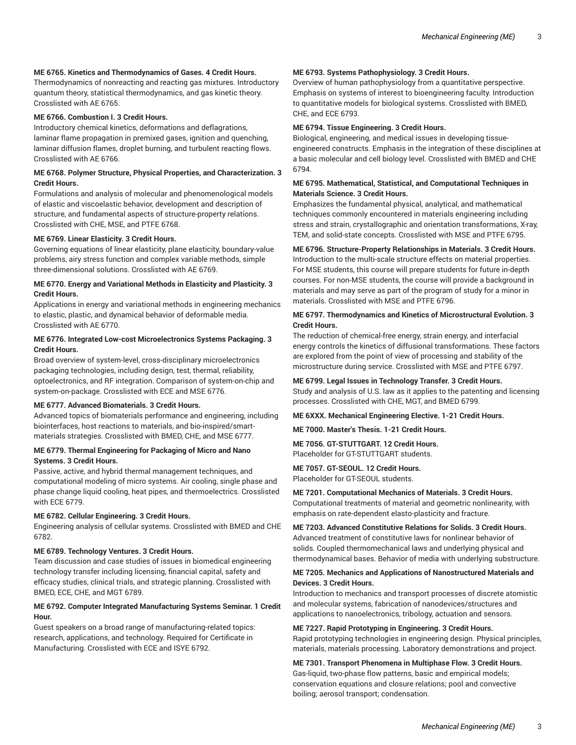# **ME 6765. Kinetics and Thermodynamics of Gases. 4 Credit Hours.**

Thermodynamics of nonreacting and reacting gas mixtures. Introductory quantum theory, statistical thermodynamics, and gas kinetic theory. Crosslisted with AE 6765.

#### **ME 6766. Combustion I. 3 Credit Hours.**

Introductory chemical kinetics, deformations and deflagrations, laminar flame propagation in premixed gases, ignition and quenching, laminar diffusion flames, droplet burning, and turbulent reacting flows. Crosslisted with AE 6766.

#### **ME 6768. Polymer Structure, Physical Properties, and Characterization. 3 Credit Hours.**

Formulations and analysis of molecular and phenomenological models of elastic and viscoelastic behavior, development and description of structure, and fundamental aspects of structure-property relations. Crosslisted with CHE, MSE, and PTFE 6768.

#### **ME 6769. Linear Elasticity. 3 Credit Hours.**

Governing equations of linear elasticity, plane elasticity, boundary-value problems, airy stress function and complex variable methods, simple three-dimensional solutions. Crosslisted with AE 6769.

# **ME 6770. Energy and Variational Methods in Elasticity and Plasticity. 3 Credit Hours.**

Applications in energy and variational methods in engineering mechanics to elastic, plastic, and dynamical behavior of deformable media. Crosslisted with AE 6770.

#### **ME 6776. Integrated Low-cost Microelectronics Systems Packaging. 3 Credit Hours.**

Broad overview of system-level, cross-disciplinary microelectronics packaging technologies, including design, test, thermal, reliability, optoelectronics, and RF integration. Comparison of system-on-chip and system-on-package. Crosslisted with ECE and MSE 6776.

#### **ME 6777. Advanced Biomaterials. 3 Credit Hours.**

Advanced topics of biomaterials performance and engineering, including biointerfaces, host reactions to materials, and bio-inspired/smartmaterials strategies. Crosslisted with BMED, CHE, and MSE 6777.

# **ME 6779. Thermal Engineering for Packaging of Micro and Nano Systems. 3 Credit Hours.**

Passive, active, and hybrid thermal management techniques, and computational modeling of micro systems. Air cooling, single phase and phase change liquid cooling, heat pipes, and thermoelectrics. Crosslisted with ECE 6779.

# **ME 6782. Cellular Engineering. 3 Credit Hours.**

Engineering analysis of cellular systems. Crosslisted with BMED and CHE 6782.

#### **ME 6789. Technology Ventures. 3 Credit Hours.**

Team discussion and case studies of issues in biomedical engineering technology transfer including licensing, financial capital, safety and efficacy studies, clinical trials, and strategic planning. Crosslisted with BMED, ECE, CHE, and MGT 6789.

# **ME 6792. Computer Integrated Manufacturing Systems Seminar. 1 Credit Hour.**

Guest speakers on a broad range of manufacturing-related topics: research, applications, and technology. Required for Certificate in Manufacturing. Crosslisted with ECE and ISYE 6792.

#### **ME 6793. Systems Pathophysiology. 3 Credit Hours.**

Overview of human pathophysiology from a quantitative perspective. Emphasis on systems of interest to bioengineering faculty. Introduction to quantitative models for biological systems. Crosslisted with BMED, CHE, and ECE 6793.

#### **ME 6794. Tissue Engineering. 3 Credit Hours.**

Biological, engineering, and medical issues in developing tissueengineered constructs. Emphasis in the integration of these disciplines at a basic molecular and cell biology level. Crosslisted with BMED and CHE 6794.

#### **ME 6795. Mathematical, Statistical, and Computational Techniques in Materials Science. 3 Credit Hours.**

Emphasizes the fundamental physical, analytical, and mathematical techniques commonly encountered in materials engineering including stress and strain, crystallographic and orientation transformations, X-ray, TEM, and solid-state concepts. Crosslisted with MSE and PTFE 6795.

#### **ME 6796. Structure-Property Relationships in Materials. 3 Credit Hours.**

Introduction to the multi-scale structure effects on material properties. For MSE students, this course will prepare students for future in-depth courses. For non-MSE students, the course will provide a background in materials and may serve as part of the program of study for a minor in materials. Crosslisted with MSE and PTFE 6796.

#### **ME 6797. Thermodynamics and Kinetics of Microstructural Evolution. 3 Credit Hours.**

The reduction of chemical-free energy, strain energy, and interfacial energy controls the kinetics of diffusional transformations. These factors are explored from the point of view of processing and stability of the microstructure during service. Crosslisted with MSE and PTFE 6797.

# **ME 6799. Legal Issues in Technology Transfer. 3 Credit Hours.**

Study and analysis of U.S. law as it applies to the patenting and licensing processes. Crosslisted with CHE, MGT, and BMED 6799.

#### **ME 6XXX. Mechanical Engineering Elective. 1-21 Credit Hours.**

**ME 7000. Master's Thesis. 1-21 Credit Hours.**

#### **ME 7056. GT-STUTTGART. 12 Credit Hours.**

Placeholder for GT-STUTTGART students.

#### **ME 7057. GT-SEOUL. 12 Credit Hours.** Placeholder for GT-SEOUL students.

#### **ME 7201. Computational Mechanics of Materials. 3 Credit Hours.**

Computational treatments of material and geometric nonlinearity, with emphasis on rate-dependent elasto-plasticity and fracture.

**ME 7203. Advanced Constitutive Relations for Solids. 3 Credit Hours.** Advanced treatment of constitutive laws for nonlinear behavior of solids. Coupled thermomechanical laws and underlying physical and thermodynamical bases. Behavior of media with underlying substructure.

#### **ME 7205. Mechanics and Applications of Nanostructured Materials and Devices. 3 Credit Hours.**

Introduction to mechanics and transport processes of discrete atomistic and molecular systems, fabrication of nanodevices/structures and applications to nanoelectronics, tribology, actuation and sensors.

# **ME 7227. Rapid Prototyping in Engineering. 3 Credit Hours.**

Rapid prototyping technologies in engineering design. Physical principles, materials, materials processing. Laboratory demonstrations and project.

**ME 7301. Transport Phenomena in Multiphase Flow. 3 Credit Hours.** Gas-liquid, two-phase flow patterns, basic and empirical models; conservation equations and closure relations; pool and convective boiling; aerosol transport; condensation.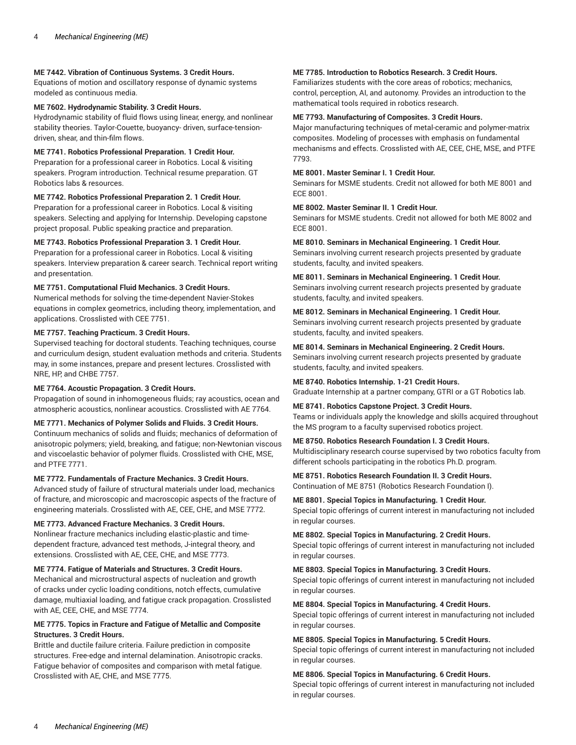# **ME 7442. Vibration of Continuous Systems. 3 Credit Hours.**

Equations of motion and oscillatory response of dynamic systems modeled as continuous media.

# **ME 7602. Hydrodynamic Stability. 3 Credit Hours.**

Hydrodynamic stability of fluid flows using linear, energy, and nonlinear stability theories. Taylor-Couette, buoyancy- driven, surface-tensiondriven, shear, and thin-film flows.

#### **ME 7741. Robotics Professional Preparation. 1 Credit Hour.**

Preparation for a professional career in Robotics. Local & visiting speakers. Program introduction. Technical resume preparation. GT Robotics labs & resources.

# **ME 7742. Robotics Professional Preparation 2. 1 Credit Hour.**

Preparation for a professional career in Robotics. Local & visiting speakers. Selecting and applying for Internship. Developing capstone project proposal. Public speaking practice and preparation.

#### **ME 7743. Robotics Professional Preparation 3. 1 Credit Hour.**

Preparation for a professional career in Robotics. Local & visiting speakers. Interview preparation & career search. Technical report writing and presentation.

#### **ME 7751. Computational Fluid Mechanics. 3 Credit Hours.**

Numerical methods for solving the time-dependent Navier-Stokes equations in complex geometrics, including theory, implementation, and applications. Crosslisted with CEE 7751.

#### **ME 7757. Teaching Practicum. 3 Credit Hours.**

Supervised teaching for doctoral students. Teaching techniques, course and curriculum design, student evaluation methods and criteria. Students may, in some instances, prepare and present lectures. Crosslisted with NRE, HP, and CHBE 7757.

# **ME 7764. Acoustic Propagation. 3 Credit Hours.**

Propagation of sound in inhomogeneous fluids; ray acoustics, ocean and atmospheric acoustics, nonlinear acoustics. Crosslisted with AE 7764.

#### **ME 7771. Mechanics of Polymer Solids and Fluids. 3 Credit Hours.**

Continuum mechanics of solids and fluids; mechanics of deformation of anisotropic polymers; yield, breaking, and fatigue; non-Newtonian viscous and viscoelastic behavior of polymer fluids. Crosslisted with CHE, MSE, and PTFE 7771.

#### **ME 7772. Fundamentals of Fracture Mechanics. 3 Credit Hours.**

Advanced study of failure of structural materials under load, mechanics of fracture, and microscopic and macroscopic aspects of the fracture of engineering materials. Crosslisted with AE, CEE, CHE, and MSE 7772.

#### **ME 7773. Advanced Fracture Mechanics. 3 Credit Hours.**

Nonlinear fracture mechanics including elastic-plastic and timedependent fracture, advanced test methods, J-integral theory, and extensions. Crosslisted with AE, CEE, CHE, and MSE 7773.

# **ME 7774. Fatigue of Materials and Structures. 3 Credit Hours.**

Mechanical and microstructural aspects of nucleation and growth of cracks under cyclic loading conditions, notch effects, cumulative damage, multiaxial loading, and fatigue crack propagation. Crosslisted with AE, CEE, CHE, and MSE 7774.

#### **ME 7775. Topics in Fracture and Fatigue of Metallic and Composite Structures. 3 Credit Hours.**

Brittle and ductile failure criteria. Failure prediction in composite structures. Free-edge and internal delamination. Anisotropic cracks. Fatigue behavior of composites and comparison with metal fatigue. Crosslisted with AE, CHE, and MSE 7775.

# **ME 7785. Introduction to Robotics Research. 3 Credit Hours.**

Familiarizes students with the core areas of robotics; mechanics, control, perception, AI, and autonomy. Provides an introduction to the mathematical tools required in robotics research.

# **ME 7793. Manufacturing of Composites. 3 Credit Hours.**

Major manufacturing techniques of metal-ceramic and polymer-matrix composites. Modeling of processes with emphasis on fundamental mechanisms and effects. Crosslisted with AE, CEE, CHE, MSE, and PTFE 7793.

# **ME 8001. Master Seminar I. 1 Credit Hour.**

Seminars for MSME students. Credit not allowed for both ME 8001 and ECE 8001.

# **ME 8002. Master Seminar II. 1 Credit Hour.**

Seminars for MSME students. Credit not allowed for both ME 8002 and ECE 8001.

#### **ME 8010. Seminars in Mechanical Engineering. 1 Credit Hour.**

Seminars involving current research projects presented by graduate students, faculty, and invited speakers.

# **ME 8011. Seminars in Mechanical Engineering. 1 Credit Hour.**

Seminars involving current research projects presented by graduate students, faculty, and invited speakers.

# **ME 8012. Seminars in Mechanical Engineering. 1 Credit Hour.**

Seminars involving current research projects presented by graduate students, faculty, and invited speakers.

# **ME 8014. Seminars in Mechanical Engineering. 2 Credit Hours.**

Seminars involving current research projects presented by graduate students, faculty, and invited speakers.

#### **ME 8740. Robotics Internship. 1-21 Credit Hours.**

Graduate Internship at a partner company, GTRI or a GT Robotics lab.

#### **ME 8741. Robotics Capstone Project. 3 Credit Hours.**

Teams or individuals apply the knowledge and skills acquired throughout the MS program to a faculty supervised robotics project.

#### **ME 8750. Robotics Research Foundation I. 3 Credit Hours.**

Multidisciplinary research course supervised by two robotics faculty from different schools participating in the robotics Ph.D. program.

#### **ME 8751. Robotics Research Foundation II. 3 Credit Hours.**

Continuation of ME 8751 (Robotics Research Foundation I).

#### **ME 8801. Special Topics in Manufacturing. 1 Credit Hour.**

Special topic offerings of current interest in manufacturing not included in regular courses.

#### **ME 8802. Special Topics in Manufacturing. 2 Credit Hours.**

Special topic offerings of current interest in manufacturing not included in regular courses.

#### **ME 8803. Special Topics in Manufacturing. 3 Credit Hours.**

Special topic offerings of current interest in manufacturing not included in regular courses.

#### **ME 8804. Special Topics in Manufacturing. 4 Credit Hours.**

Special topic offerings of current interest in manufacturing not included in regular courses.

#### **ME 8805. Special Topics in Manufacturing. 5 Credit Hours.**

Special topic offerings of current interest in manufacturing not included in regular courses.

#### **ME 8806. Special Topics in Manufacturing. 6 Credit Hours.**

Special topic offerings of current interest in manufacturing not included in regular courses.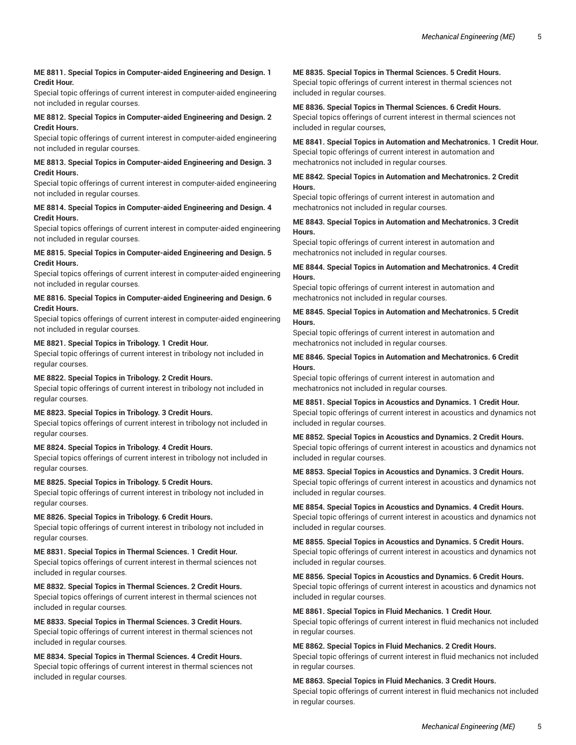# **ME 8811. Special Topics in Computer-aided Engineering and Design. 1 Credit Hour.**

Special topic offerings of current interest in computer-aided engineering not included in regular courses.

# **ME 8812. Special Topics in Computer-aided Engineering and Design. 2 Credit Hours.**

Special topic offerings of current interest in computer-aided engineering not included in regular courses.

#### **ME 8813. Special Topics in Computer-aided Engineering and Design. 3 Credit Hours.**

Special topic offerings of current interest in computer-aided engineering not included in regular courses.

# **ME 8814. Special Topics in Computer-aided Engineering and Design. 4 Credit Hours.**

Special topics offerings of current interest in computer-aided engineering not included in regular courses.

# **ME 8815. Special Topics in Computer-aided Engineering and Design. 5 Credit Hours.**

Special topics offerings of current interest in computer-aided engineering not included in regular courses.

# **ME 8816. Special Topics in Computer-aided Engineering and Design. 6 Credit Hours.**

Special topics offerings of current interest in computer-aided engineering not included in regular courses.

# **ME 8821. Special Topics in Tribology. 1 Credit Hour.**

Special topic offerings of current interest in tribology not included in regular courses.

# **ME 8822. Special Topics in Tribology. 2 Credit Hours.**

Special topic offerings of current interest in tribology not included in regular courses.

# **ME 8823. Special Topics in Tribology. 3 Credit Hours.**

Special topics offerings of current interest in tribology not included in regular courses.

# **ME 8824. Special Topics in Tribology. 4 Credit Hours.**

Special topics offerings of current interest in tribology not included in regular courses.

# **ME 8825. Special Topics in Tribology. 5 Credit Hours.**

Special topic offerings of current interest in tribology not included in regular courses.

# **ME 8826. Special Topics in Tribology. 6 Credit Hours.**

Special topic offerings of current interest in tribology not included in regular courses.

# **ME 8831. Special Topics in Thermal Sciences. 1 Credit Hour.**

Special topics offerings of current interest in thermal sciences not included in regular courses.

# **ME 8832. Special Topics in Thermal Sciences. 2 Credit Hours.**

Special topics offerings of current interest in thermal sciences not included in regular courses.

# **ME 8833. Special Topics in Thermal Sciences. 3 Credit Hours.**

Special topic offerings of current interest in thermal sciences not included in regular courses.

# **ME 8834. Special Topics in Thermal Sciences. 4 Credit Hours.** Special topic offerings of current interest in thermal sciences not included in regular courses.

# **ME 8835. Special Topics in Thermal Sciences. 5 Credit Hours.**

Special topic offerings of current interest in thermal sciences not included in regular courses.

# **ME 8836. Special Topics in Thermal Sciences. 6 Credit Hours.** Special topics offerings of current interest in thermal sciences not included in regular courses,

**ME 8841. Special Topics in Automation and Mechatronics. 1 Credit Hour.** Special topic offerings of current interest in automation and mechatronics not included in regular courses.

# **ME 8842. Special Topics in Automation and Mechatronics. 2 Credit Hours.**

Special topic offerings of current interest in automation and mechatronics not included in regular courses.

# **ME 8843. Special Topics in Automation and Mechatronics. 3 Credit Hours.**

Special topic offerings of current interest in automation and mechatronics not included in regular courses.

# **ME 8844. Special Topics in Automation and Mechatronics. 4 Credit Hours.**

Special topic offerings of current interest in automation and mechatronics not included in regular courses.

#### **ME 8845. Special Topics in Automation and Mechatronics. 5 Credit Hours.**

Special topic offerings of current interest in automation and mechatronics not included in regular courses.

# **ME 8846. Special Topics in Automation and Mechatronics. 6 Credit Hours.**

Special topic offerings of current interest in automation and mechatronics not included in regular courses.

# **ME 8851. Special Topics in Acoustics and Dynamics. 1 Credit Hour.** Special topic offerings of current interest in acoustics and dynamics not included in regular courses.

**ME 8852. Special Topics in Acoustics and Dynamics. 2 Credit Hours.** Special topic offerings of current interest in acoustics and dynamics not included in regular courses.

# **ME 8853. Special Topics in Acoustics and Dynamics. 3 Credit Hours.**

Special topic offerings of current interest in acoustics and dynamics not included in regular courses.

# **ME 8854. Special Topics in Acoustics and Dynamics. 4 Credit Hours.**

Special topic offerings of current interest in acoustics and dynamics not included in regular courses.

# **ME 8855. Special Topics in Acoustics and Dynamics. 5 Credit Hours.** Special topic offerings of current interest in acoustics and dynamics not included in regular courses.

**ME 8856. Special Topics in Acoustics and Dynamics. 6 Credit Hours.** Special topic offerings of current interest in acoustics and dynamics not included in regular courses.

#### **ME 8861. Special Topics in Fluid Mechanics. 1 Credit Hour.**

Special topic offerings of current interest in fluid mechanics not included in regular courses.

#### **ME 8862. Special Topics in Fluid Mechanics. 2 Credit Hours.**

Special topic offerings of current interest in fluid mechanics not included in regular courses.

#### **ME 8863. Special Topics in Fluid Mechanics. 3 Credit Hours.**

Special topic offerings of current interest in fluid mechanics not included in regular courses.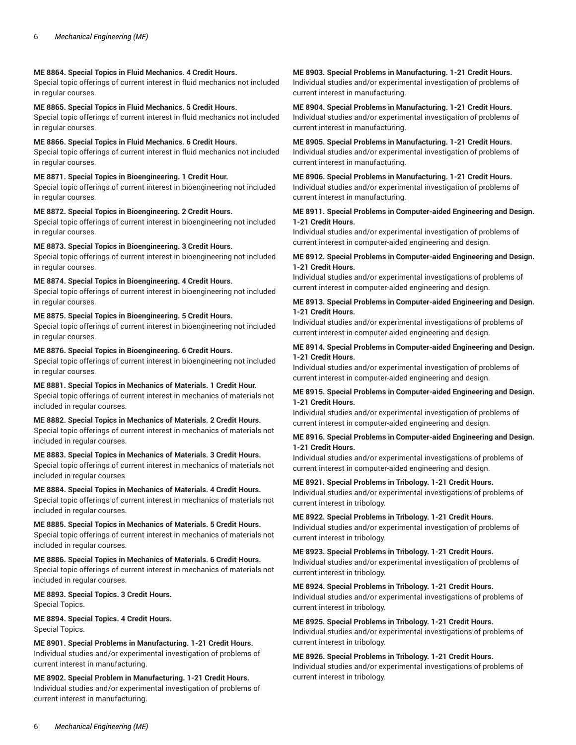# **ME 8864. Special Topics in Fluid Mechanics. 4 Credit Hours.**

Special topic offerings of current interest in fluid mechanics not included in regular courses.

#### **ME 8865. Special Topics in Fluid Mechanics. 5 Credit Hours.**

Special topic offerings of current interest in fluid mechanics not included in regular courses.

#### **ME 8866. Special Topics in Fluid Mechanics. 6 Credit Hours.**

Special topic offerings of current interest in fluid mechanics not included in regular courses.

# **ME 8871. Special Topics in Bioengineering. 1 Credit Hour.**

Special topic offerings of current interest in bioengineering not included in regular courses.

# **ME 8872. Special Topics in Bioengineering. 2 Credit Hours.**

Special topic offerings of current interest in bioengineering not included in regular courses.

# **ME 8873. Special Topics in Bioengineering. 3 Credit Hours.**

Special topic offerings of current interest in bioengineering not included in regular courses.

# **ME 8874. Special Topics in Bioengineering. 4 Credit Hours.**

Special topic offerings of current interest in bioengineering not included in regular courses.

# **ME 8875. Special Topics in Bioengineering. 5 Credit Hours.**

Special topic offerings of current interest in bioengineering not included in regular courses.

# **ME 8876. Special Topics in Bioengineering. 6 Credit Hours.**

Special topic offerings of current interest in bioengineering not included in regular courses.

# **ME 8881. Special Topics in Mechanics of Materials. 1 Credit Hour.**

Special topic offerings of current interest in mechanics of materials not included in regular courses.

#### **ME 8882. Special Topics in Mechanics of Materials. 2 Credit Hours.** Special topic offerings of current interest in mechanics of materials not included in regular courses.

**ME 8883. Special Topics in Mechanics of Materials. 3 Credit Hours.** Special topic offerings of current interest in mechanics of materials not included in regular courses.

# **ME 8884. Special Topics in Mechanics of Materials. 4 Credit Hours.**

Special topic offerings of current interest in mechanics of materials not included in regular courses.

#### **ME 8885. Special Topics in Mechanics of Materials. 5 Credit Hours.** Special topic offerings of current interest in mechanics of materials not included in regular courses.

**ME 8886. Special Topics in Mechanics of Materials. 6 Credit Hours.** Special topic offerings of current interest in mechanics of materials not included in regular courses.

# **ME 8893. Special Topics. 3 Credit Hours.** Special Topics.

**ME 8894. Special Topics. 4 Credit Hours.** Special Topics.

**ME 8901. Special Problems in Manufacturing. 1-21 Credit Hours.** Individual studies and/or experimental investigation of problems of current interest in manufacturing.

**ME 8902. Special Problem in Manufacturing. 1-21 Credit Hours.** Individual studies and/or experimental investigation of problems of current interest in manufacturing.

# **ME 8903. Special Problems in Manufacturing. 1-21 Credit Hours.** Individual studies and/or experimental investigation of problems of current interest in manufacturing.

**ME 8904. Special Problems in Manufacturing. 1-21 Credit Hours.** Individual studies and/or experimental investigation of problems of current interest in manufacturing.

# **ME 8905. Special Problems in Manufacturing. 1-21 Credit Hours.** Individual studies and/or experimental investigation of problems of current interest in manufacturing.

# **ME 8906. Special Problems in Manufacturing. 1-21 Credit Hours.** Individual studies and/or experimental investigation of problems of current interest in manufacturing.

# **ME 8911. Special Problems in Computer-aided Engineering and Design. 1-21 Credit Hours.**

Individual studies and/or experimental investigation of problems of current interest in computer-aided engineering and design.

#### **ME 8912. Special Problems in Computer-aided Engineering and Design. 1-21 Credit Hours.**

Individual studies and/or experimental investigations of problems of current interest in computer-aided engineering and design.

#### **ME 8913. Special Problems in Computer-aided Engineering and Design. 1-21 Credit Hours.**

Individual studies and/or experimental investigations of problems of current interest in computer-aided engineering and design.

# **ME 8914. Special Problems in Computer-aided Engineering and Design. 1-21 Credit Hours.**

Individual studies and/or experimental investigation of problems of current interest in computer-aided engineering and design.

#### **ME 8915. Special Problems in Computer-aided Engineering and Design. 1-21 Credit Hours.**

Individual studies and/or experimental investigation of problems of current interest in computer-aided engineering and design.

#### **ME 8916. Special Problems in Computer-aided Engineering and Design. 1-21 Credit Hours.**

Individual studies and/or experimental investigations of problems of current interest in computer-aided engineering and design.

#### **ME 8921. Special Problems in Tribology. 1-21 Credit Hours.**

Individual studies and/or experimental investigations of problems of current interest in tribology.

#### **ME 8922. Special Problems in Tribology. 1-21 Credit Hours.**

Individual studies and/or experimental investigation of problems of current interest in tribology.

#### **ME 8923. Special Problems in Tribology. 1-21 Credit Hours.** Individual studies and/or experimental investigation of problems of current interest in tribology.

**ME 8924. Special Problems in Tribology. 1-21 Credit Hours.**

Individual studies and/or experimental investigations of problems of current interest in tribology.

# **ME 8925. Special Problems in Tribology. 1-21 Credit Hours.**

Individual studies and/or experimental investigations of problems of current interest in tribology.

# **ME 8926. Special Problems in Tribology. 1-21 Credit Hours.**

Individual studies and/or experimental investigations of problems of current interest in tribology.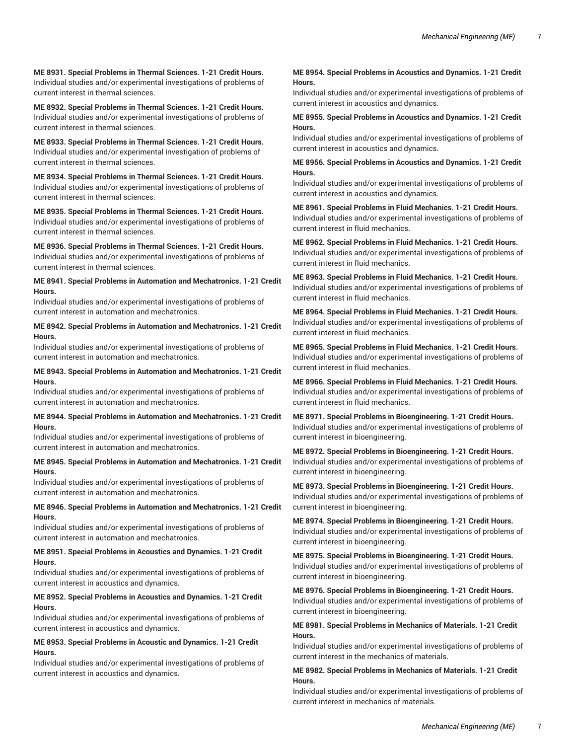**ME 8931. Special Problems in Thermal Sciences. 1-21 Credit Hours.** Individual studies and/or experimental investigations of problems of current interest in thermal sciences.

**ME 8932. Special Problems in Thermal Sciences. 1-21 Credit Hours.** Individual studies and/or experimental investigations of problems of current interest in thermal sciences.

**ME 8933. Special Problems in Thermal Sciences. 1-21 Credit Hours.** Individual studies and/or experimental investigation of problems of current interest in thermal sciences.

**ME 8934. Special Problems in Thermal Sciences. 1-21 Credit Hours.** Individual studies and/or experimental investigations of problems of current interest in thermal sciences.

**ME 8935. Special Problems in Thermal Sciences. 1-21 Credit Hours.** Individual studies and/or experimental investigations of problems of current interest in thermal sciences.

**ME 8936. Special Problems in Thermal Sciences. 1-21 Credit Hours.** Individual studies and/or experimental investigations of problems of current interest in thermal sciences.

**ME 8941. Special Problems in Automation and Mechatronics. 1-21 Credit Hours.**

Individual studies and/or experimental investigations of problems of current interest in automation and mechatronics.

#### **ME 8942. Special Problems in Automation and Mechatronics. 1-21 Credit Hours.**

Individual studies and/or experimental investigations of problems of current interest in automation and mechatronics.

**ME 8943. Special Problems in Automation and Mechatronics. 1-21 Credit Hours.**

Individual studies and/or experimental investigations of problems of current interest in automation and mechatronics.

#### **ME 8944. Special Problems in Automation and Mechatronics. 1-21 Credit Hours.**

Individual studies and/or experimental investigations of problems of current interest in automation and mechatronics.

#### **ME 8945. Special Problems in Automation and Mechatronics. 1-21 Credit Hours.**

Individual studies and/or experimental investigations of problems of current interest in automation and mechatronics.

#### **ME 8946. Special Problems in Automation and Mechatronics. 1-21 Credit Hours.**

Individual studies and/or experimental investigations of problems of current interest in automation and mechatronics.

#### **ME 8951. Special Problems in Acoustics and Dynamics. 1-21 Credit Hours.**

Individual studies and/or experimental investigations of problems of current interest in acoustics and dynamics.

#### **ME 8952. Special Problems in Acoustics and Dynamics. 1-21 Credit Hours.**

Individual studies and/or experimental investigations of problems of current interest in acoustics and dynamics.

#### **ME 8953. Special Problems in Acoustic and Dynamics. 1-21 Credit Hours.**

Individual studies and/or experimental investigations of problems of current interest in acoustics and dynamics.

#### **ME 8954. Special Problems in Acoustics and Dynamics. 1-21 Credit Hours.**

Individual studies and/or experimental investigations of problems of current interest in acoustics and dynamics.

#### **ME 8955. Special Problems in Acoustics and Dynamics. 1-21 Credit Hours.**

Individual studies and/or experimental investigations of problems of current interest in acoustics and dynamics.

#### **ME 8956. Special Problems in Acoustics and Dynamics. 1-21 Credit Hours.**

Individual studies and/or experimental investigations of problems of current interest in acoustics and dynamics.

# **ME 8961. Special Problems in Fluid Mechanics. 1-21 Credit Hours.** Individual studies and/or experimental investigations of problems of current interest in fluid mechanics.

**ME 8962. Special Problems in Fluid Mechanics. 1-21 Credit Hours.** Individual studies and/or experimental investigations of problems of current interest in fluid mechanics.

**ME 8963. Special Problems in Fluid Mechanics. 1-21 Credit Hours.** Individual studies and/or experimental investigations of problems of current interest in fluid mechanics.

**ME 8964. Special Problems in Fluid Mechanics. 1-21 Credit Hours.** Individual studies and/or experimental investigations of problems of current interest in fluid mechanics.

**ME 8965. Special Problems in Fluid Mechanics. 1-21 Credit Hours.** Individual studies and/or experimental investigations of problems of current interest in fluid mechanics.

**ME 8966. Special Problems in Fluid Mechanics. 1-21 Credit Hours.** Individual studies and/or experimental investigations of problems of current interest in fluid mechanics.

**ME 8971. Special Problems in Bioengineering. 1-21 Credit Hours.** Individual studies and/or experimental investigations of problems of current interest in bioengineering.

**ME 8972. Special Problems in Bioengineering. 1-21 Credit Hours.** Individual studies and/or experimental investigations of problems of current interest in bioengineering.

**ME 8973. Special Problems in Bioengineering. 1-21 Credit Hours.** Individual studies and/or experimental investigations of problems of current interest in bioengineering.

**ME 8974. Special Problems in Bioengineering. 1-21 Credit Hours.** Individual studies and/or experimental investigations of problems of current interest in bioengineering.

**ME 8975. Special Problems in Bioengineering. 1-21 Credit Hours.** Individual studies and/or experimental investigations of problems of current interest in bioengineering.

**ME 8976. Special Problems in Bioengineering. 1-21 Credit Hours.** Individual studies and/or experimental investigations of problems of current interest in bioengineering.

# **ME 8981. Special Problems in Mechanics of Materials. 1-21 Credit Hours.**

Individual studies and/or experimental investigations of problems of current interest in the mechanics of materials.

# **ME 8982. Special Problems in Mechanics of Materials. 1-21 Credit Hours.**

Individual studies and/or experimental investigations of problems of current interest in mechanics of materials.